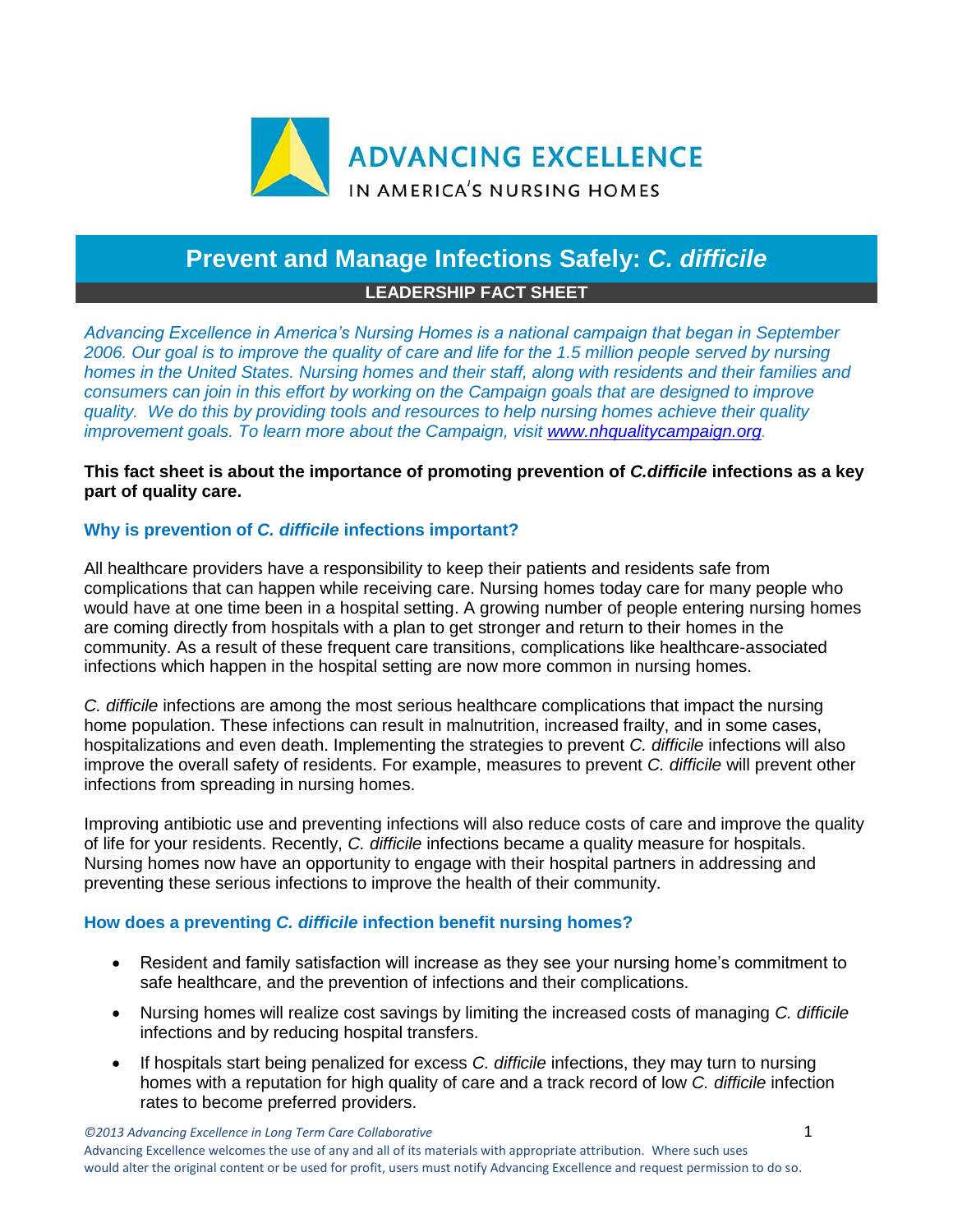

# **Prevent and Manage Infections Safely:** *C. difficile* **LEADERSHIP FACT SHEET**

*Advancing Excellence in America's Nursing Homes is a national campaign that began in September 2006. Our goal is to improve the quality of care and life for the 1.5 million people served by nursing homes in the United States. Nursing homes and their staff, along with residents and their families and consumers can join in this effort by working on the Campaign goals that are designed to improve quality. We do this by providing tools and resources to help nursing homes achieve their quality improvement goals. To learn more about the Campaign, visit [www.nhqualitycampaign.org.](https://www.nhqualitycampaign.org/)*

# **This fact sheet is about the importance of promoting prevention of** *C.difficile* **infections as a key part of quality care.**

# **Why is prevention of** *C. difficile* **infections important?**

All healthcare providers have a responsibility to keep their patients and residents safe from complications that can happen while receiving care. Nursing homes today care for many people who would have at one time been in a hospital setting. A growing number of people entering nursing homes are coming directly from hospitals with a plan to get stronger and return to their homes in the community. As a result of these frequent care transitions, complications like healthcare-associated infections which happen in the hospital setting are now more common in nursing homes.

*C. difficile* infections are among the most serious healthcare complications that impact the nursing home population. These infections can result in malnutrition, increased frailty, and in some cases, hospitalizations and even death. Implementing the strategies to prevent *C. difficile* infections will also improve the overall safety of residents. For example, measures to prevent *C. difficile* will prevent other infections from spreading in nursing homes.

Improving antibiotic use and preventing infections will also reduce costs of care and improve the quality of life for your residents. Recently, *C. difficile* infections became a quality measure for hospitals. Nursing homes now have an opportunity to engage with their hospital partners in addressing and preventing these serious infections to improve the health of their community.

# **How does a preventing** *C. difficile* **infection benefit nursing homes?**

- Resident and family satisfaction will increase as they see your nursing home's commitment to safe healthcare, and the prevention of infections and their complications.
- Nursing homes will realize cost savings by limiting the increased costs of managing *C. difficile* infections and by reducing hospital transfers.
- If hospitals start being penalized for excess *C. difficile* infections, they may turn to nursing homes with a reputation for high quality of care and a track record of low *C. difficile* infection rates to become preferred providers.